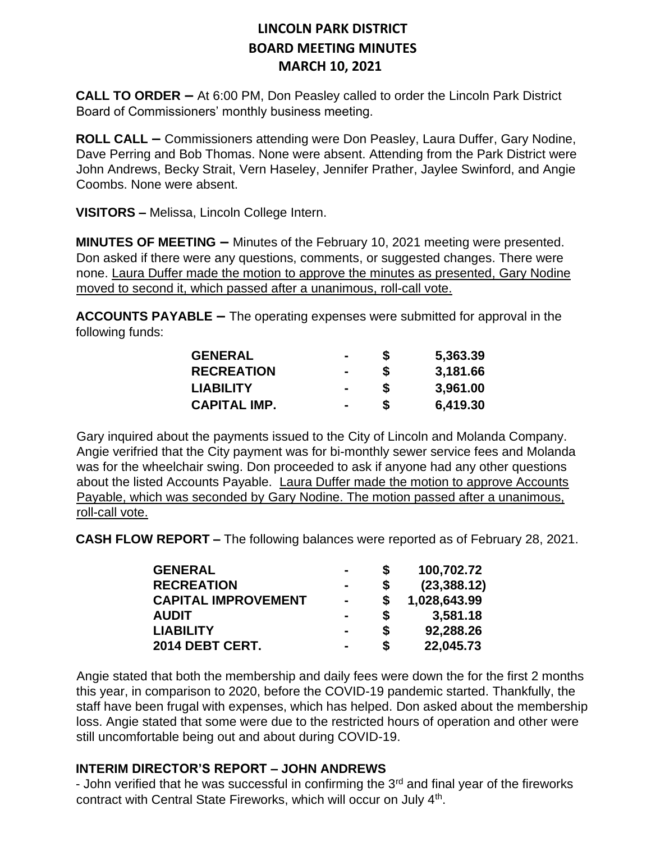**CALL TO ORDER –** At 6:00 PM, Don Peasley called to order the Lincoln Park District Board of Commissioners' monthly business meeting.

**ROLL CALL –** Commissioners attending were Don Peasley, Laura Duffer, Gary Nodine, Dave Perring and Bob Thomas. None were absent. Attending from the Park District were John Andrews, Becky Strait, Vern Haseley, Jennifer Prather, Jaylee Swinford, and Angie Coombs. None were absent.

**VISITORS –** Melissa, Lincoln College Intern.

**MINUTES OF MEETING –** Minutes of the February 10, 2021 meeting were presented. Don asked if there were any questions, comments, or suggested changes. There were none. Laura Duffer made the motion to approve the minutes as presented, Gary Nodine moved to second it, which passed after a unanimous, roll-call vote.

**ACCOUNTS PAYABLE –** The operating expenses were submitted for approval in the following funds:

| <b>GENERAL</b>      | $\blacksquare$ | S | 5,363.39 |
|---------------------|----------------|---|----------|
| <b>RECREATION</b>   | $\blacksquare$ | S | 3,181.66 |
| <b>LIABILITY</b>    | $\blacksquare$ | S | 3,961.00 |
| <b>CAPITAL IMP.</b> | $\blacksquare$ |   | 6,419.30 |

Gary inquired about the payments issued to the City of Lincoln and Molanda Company. Angie verifried that the City payment was for bi-monthly sewer service fees and Molanda was for the wheelchair swing. Don proceeded to ask if anyone had any other questions about the listed Accounts Payable. Laura Duffer made the motion to approve Accounts Payable, which was seconded by Gary Nodine. The motion passed after a unanimous, roll-call vote.

**CASH FLOW REPORT –** The following balances were reported as of February 28, 2021.

| <b>GENERAL</b>             | $\blacksquare$ | S  | 100,702.72   |
|----------------------------|----------------|----|--------------|
| <b>RECREATION</b>          | $\blacksquare$ | S  | (23, 388.12) |
| <b>CAPITAL IMPROVEMENT</b> | $\blacksquare$ | \$ | 1,028,643.99 |
| <b>AUDIT</b>               | -              | S  | 3,581.18     |
| <b>LIABILITY</b>           |                | S  | 92,288.26    |
| 2014 DEBT CERT.            | $\blacksquare$ | S  | 22,045.73    |

Angie stated that both the membership and daily fees were down the for the first 2 months this year, in comparison to 2020, before the COVID-19 pandemic started. Thankfully, the staff have been frugal with expenses, which has helped. Don asked about the membership loss. Angie stated that some were due to the restricted hours of operation and other were still uncomfortable being out and about during COVID-19.

#### **INTERIM DIRECTOR'S REPORT – JOHN ANDREWS**

- John verified that he was successful in confirming the  $3<sup>rd</sup>$  and final year of the fireworks contract with Central State Fireworks, which will occur on July 4<sup>th</sup>.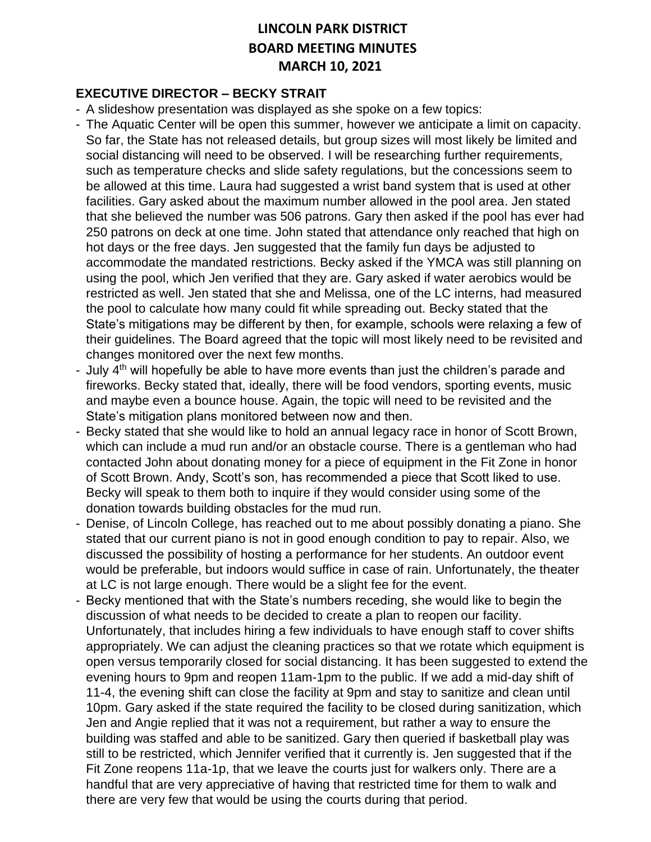#### **EXECUTIVE DIRECTOR – BECKY STRAIT**

- A slideshow presentation was displayed as she spoke on a few topics:
- The Aquatic Center will be open this summer, however we anticipate a limit on capacity. So far, the State has not released details, but group sizes will most likely be limited and social distancing will need to be observed. I will be researching further requirements, such as temperature checks and slide safety regulations, but the concessions seem to be allowed at this time. Laura had suggested a wrist band system that is used at other facilities. Gary asked about the maximum number allowed in the pool area. Jen stated that she believed the number was 506 patrons. Gary then asked if the pool has ever had 250 patrons on deck at one time. John stated that attendance only reached that high on hot days or the free days. Jen suggested that the family fun days be adjusted to accommodate the mandated restrictions. Becky asked if the YMCA was still planning on using the pool, which Jen verified that they are. Gary asked if water aerobics would be restricted as well. Jen stated that she and Melissa, one of the LC interns, had measured the pool to calculate how many could fit while spreading out. Becky stated that the State's mitigations may be different by then, for example, schools were relaxing a few of their guidelines. The Board agreed that the topic will most likely need to be revisited and changes monitored over the next few months.
- July 4<sup>th</sup> will hopefully be able to have more events than just the children's parade and fireworks. Becky stated that, ideally, there will be food vendors, sporting events, music and maybe even a bounce house. Again, the topic will need to be revisited and the State's mitigation plans monitored between now and then.
- Becky stated that she would like to hold an annual legacy race in honor of Scott Brown, which can include a mud run and/or an obstacle course. There is a gentleman who had contacted John about donating money for a piece of equipment in the Fit Zone in honor of Scott Brown. Andy, Scott's son, has recommended a piece that Scott liked to use. Becky will speak to them both to inquire if they would consider using some of the donation towards building obstacles for the mud run.
- Denise, of Lincoln College, has reached out to me about possibly donating a piano. She stated that our current piano is not in good enough condition to pay to repair. Also, we discussed the possibility of hosting a performance for her students. An outdoor event would be preferable, but indoors would suffice in case of rain. Unfortunately, the theater at LC is not large enough. There would be a slight fee for the event.
- Becky mentioned that with the State's numbers receding, she would like to begin the discussion of what needs to be decided to create a plan to reopen our facility. Unfortunately, that includes hiring a few individuals to have enough staff to cover shifts appropriately. We can adjust the cleaning practices so that we rotate which equipment is open versus temporarily closed for social distancing. It has been suggested to extend the evening hours to 9pm and reopen 11am-1pm to the public. If we add a mid-day shift of 11-4, the evening shift can close the facility at 9pm and stay to sanitize and clean until 10pm. Gary asked if the state required the facility to be closed during sanitization, which Jen and Angie replied that it was not a requirement, but rather a way to ensure the building was staffed and able to be sanitized. Gary then queried if basketball play was still to be restricted, which Jennifer verified that it currently is. Jen suggested that if the Fit Zone reopens 11a-1p, that we leave the courts just for walkers only. There are a handful that are very appreciative of having that restricted time for them to walk and there are very few that would be using the courts during that period.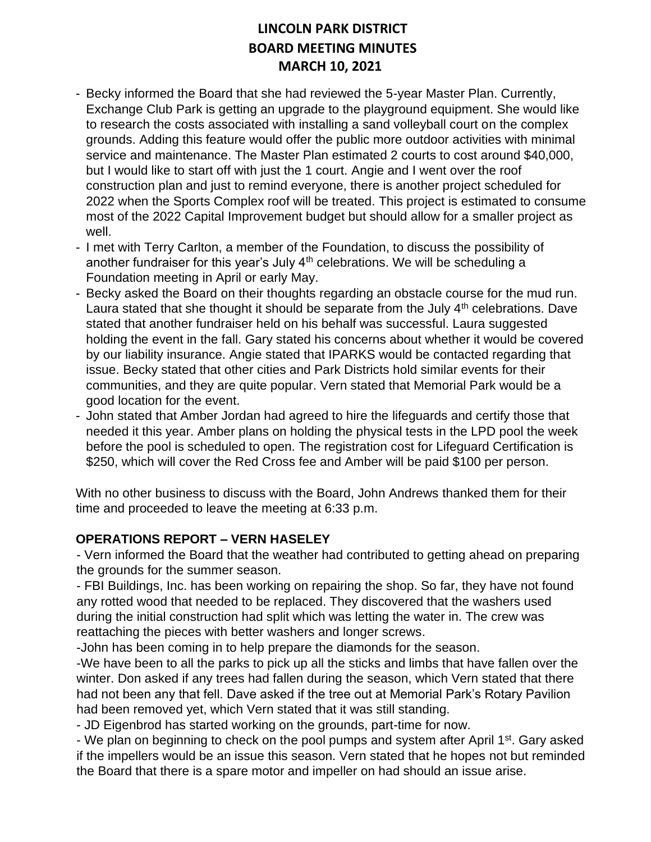- Becky informed the Board that she had reviewed the 5-year Master Plan. Currently, Exchange Club Park is getting an upgrade to the playground equipment. She would like to research the costs associated with installing a sand volleyball court on the complex grounds. Adding this feature would offer the public more outdoor activities with minimal service and maintenance. The Master Plan estimated 2 courts to cost around \$40,000, but I would like to start off with just the 1 court. Angie and I went over the roof construction plan and just to remind everyone, there is another project scheduled for 2022 when the Sports Complex roof will be treated. This project is estimated to consume most of the 2022 Capital Improvement budget but should allow for a smaller project as well.
- I met with Terry Carlton, a member of the Foundation, to discuss the possibility of another fundraiser for this year's July  $4<sup>th</sup>$  celebrations. We will be scheduling a Foundation meeting in April or early May.
- Becky asked the Board on their thoughts regarding an obstacle course for the mud run. Laura stated that she thought it should be separate from the July  $4<sup>th</sup>$  celebrations. Dave stated that another fundraiser held on his behalf was successful. Laura suggested holding the event in the fall. Gary stated his concerns about whether it would be covered by our liability insurance. Angie stated that IPARKS would be contacted regarding that issue. Becky stated that other cities and Park Districts hold similar events for their communities, and they are quite popular. Vern stated that Memorial Park would be a good location for the event.
- John stated that Amber Jordan had agreed to hire the lifeguards and certify those that needed it this year. Amber plans on holding the physical tests in the LPD pool the week before the pool is scheduled to open. The registration cost for Lifeguard Certification is \$250, which will cover the Red Cross fee and Amber will be paid \$100 per person.

With no other business to discuss with the Board, John Andrews thanked them for their time and proceeded to leave the meeting at 6:33 p.m.

### **OPERATIONS REPORT – VERN HASELEY**

- Vern informed the Board that the weather had contributed to getting ahead on preparing the grounds for the summer season.

- FBI Buildings, Inc. has been working on repairing the shop. So far, they have not found any rotted wood that needed to be replaced. They discovered that the washers used during the initial construction had split which was letting the water in. The crew was reattaching the pieces with better washers and longer screws.

-John has been coming in to help prepare the diamonds for the season.

-We have been to all the parks to pick up all the sticks and limbs that have fallen over the winter. Don asked if any trees had fallen during the season, which Vern stated that there had not been any that fell. Dave asked if the tree out at Memorial Park's Rotary Pavilion had been removed yet, which Vern stated that it was still standing.

- JD Eigenbrod has started working on the grounds, part-time for now.

- We plan on beginning to check on the pool pumps and system after April 1<sup>st</sup>. Gary asked if the impellers would be an issue this season. Vern stated that he hopes not but reminded the Board that there is a spare motor and impeller on had should an issue arise.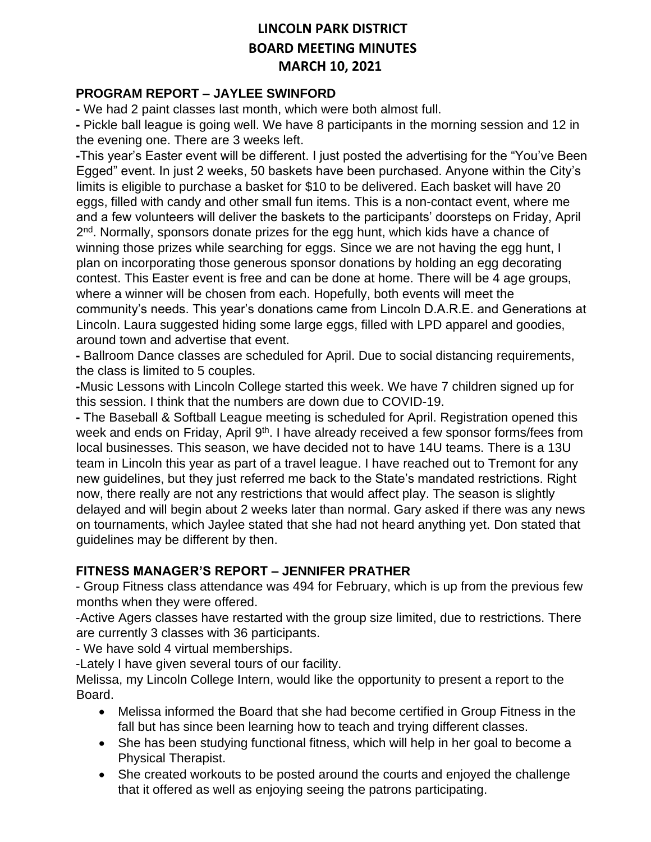#### **PROGRAM REPORT – JAYLEE SWINFORD**

**-** We had 2 paint classes last month, which were both almost full.

**-** Pickle ball league is going well. We have 8 participants in the morning session and 12 in the evening one. There are 3 weeks left.

**-**This year's Easter event will be different. I just posted the advertising for the "You've Been Egged" event. In just 2 weeks, 50 baskets have been purchased. Anyone within the City's limits is eligible to purchase a basket for \$10 to be delivered. Each basket will have 20 eggs, filled with candy and other small fun items. This is a non-contact event, where me and a few volunteers will deliver the baskets to the participants' doorsteps on Friday, April 2<sup>nd</sup>. Normally, sponsors donate prizes for the egg hunt, which kids have a chance of winning those prizes while searching for eggs. Since we are not having the egg hunt, I plan on incorporating those generous sponsor donations by holding an egg decorating contest. This Easter event is free and can be done at home. There will be 4 age groups, where a winner will be chosen from each. Hopefully, both events will meet the community's needs. This year's donations came from Lincoln D.A.R.E. and Generations at Lincoln. Laura suggested hiding some large eggs, filled with LPD apparel and goodies, around town and advertise that event.

**-** Ballroom Dance classes are scheduled for April. Due to social distancing requirements, the class is limited to 5 couples.

**-**Music Lessons with Lincoln College started this week. We have 7 children signed up for this session. I think that the numbers are down due to COVID-19.

**-** The Baseball & Softball League meeting is scheduled for April. Registration opened this week and ends on Friday, April 9<sup>th</sup>. I have already received a few sponsor forms/fees from local businesses. This season, we have decided not to have 14U teams. There is a 13U team in Lincoln this year as part of a travel league. I have reached out to Tremont for any new guidelines, but they just referred me back to the State's mandated restrictions. Right now, there really are not any restrictions that would affect play. The season is slightly delayed and will begin about 2 weeks later than normal. Gary asked if there was any news on tournaments, which Jaylee stated that she had not heard anything yet. Don stated that guidelines may be different by then.

#### **FITNESS MANAGER'S REPORT – JENNIFER PRATHER**

- Group Fitness class attendance was 494 for February, which is up from the previous few months when they were offered.

-Active Agers classes have restarted with the group size limited, due to restrictions. There are currently 3 classes with 36 participants.

- We have sold 4 virtual memberships.

-Lately I have given several tours of our facility.

Melissa, my Lincoln College Intern, would like the opportunity to present a report to the Board.

- Melissa informed the Board that she had become certified in Group Fitness in the fall but has since been learning how to teach and trying different classes.
- She has been studying functional fitness, which will help in her goal to become a Physical Therapist.
- She created workouts to be posted around the courts and enjoyed the challenge that it offered as well as enjoying seeing the patrons participating.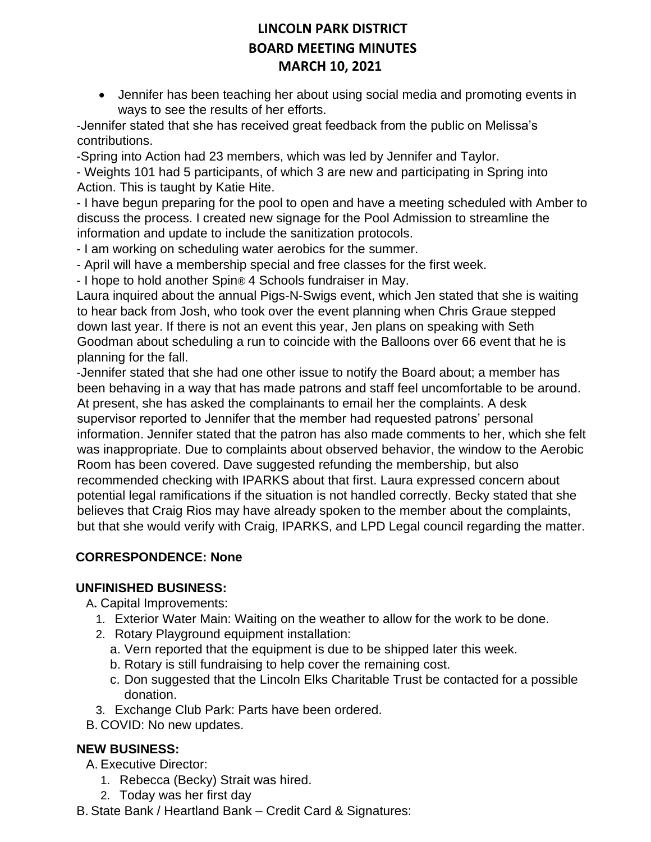• Jennifer has been teaching her about using social media and promoting events in ways to see the results of her efforts.

-Jennifer stated that she has received great feedback from the public on Melissa's contributions.

-Spring into Action had 23 members, which was led by Jennifer and Taylor.

- Weights 101 had 5 participants, of which 3 are new and participating in Spring into Action. This is taught by Katie Hite.

- I have begun preparing for the pool to open and have a meeting scheduled with Amber to discuss the process. I created new signage for the Pool Admission to streamline the information and update to include the sanitization protocols.

- I am working on scheduling water aerobics for the summer.

- April will have a membership special and free classes for the first week.

- I hope to hold another Spin® 4 Schools fundraiser in May.

Laura inquired about the annual Pigs-N-Swigs event, which Jen stated that she is waiting to hear back from Josh, who took over the event planning when Chris Graue stepped down last year. If there is not an event this year, Jen plans on speaking with Seth Goodman about scheduling a run to coincide with the Balloons over 66 event that he is planning for the fall.

-Jennifer stated that she had one other issue to notify the Board about; a member has been behaving in a way that has made patrons and staff feel uncomfortable to be around. At present, she has asked the complainants to email her the complaints. A desk supervisor reported to Jennifer that the member had requested patrons' personal information. Jennifer stated that the patron has also made comments to her, which she felt was inappropriate. Due to complaints about observed behavior, the window to the Aerobic Room has been covered. Dave suggested refunding the membership, but also recommended checking with IPARKS about that first. Laura expressed concern about potential legal ramifications if the situation is not handled correctly. Becky stated that she believes that Craig Rios may have already spoken to the member about the complaints, but that she would verify with Craig, IPARKS, and LPD Legal council regarding the matter.

## **CORRESPONDENCE: None**

### **UNFINISHED BUSINESS:**

A**.** Capital Improvements:

- 1. Exterior Water Main: Waiting on the weather to allow for the work to be done.
- 2. Rotary Playground equipment installation:
	- a. Vern reported that the equipment is due to be shipped later this week.
	- b. Rotary is still fundraising to help cover the remaining cost.
	- c. Don suggested that the Lincoln Elks Charitable Trust be contacted for a possible donation.
- 3. Exchange Club Park: Parts have been ordered.
- B. COVID: No new updates.

## **NEW BUSINESS:**

A. Executive Director:

- 1. Rebecca (Becky) Strait was hired.
- 2. Today was her first day

B. State Bank / Heartland Bank – Credit Card & Signatures: